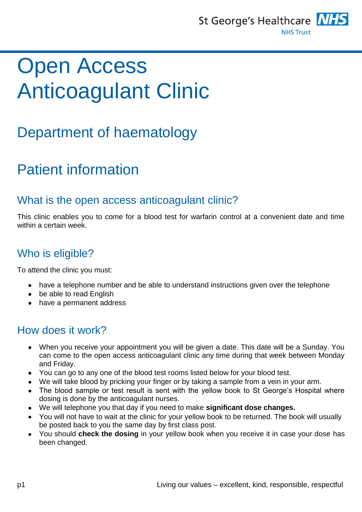

# Open Access Anticoagulant Clinic

## Department of haematology

## Patient information

## What is the open access anticoagulant clinic?

This clinic enables you to come for a blood test for warfarin control at a convenient date and time within a certain week.

## Who is eligible?

To attend the clinic you must:

- have a telephone number and be able to understand instructions given over the telephone
- be able to read English
- have a permanent address

## How does it work?

- When you receive your appointment you will be given a date. This date will be a Sunday. You can come to the open access anticoagulant clinic any time during that week between Monday and Friday.
- You can go to any one of the blood test rooms listed below for your blood test.
- We will take blood by pricking your finger or by taking a sample from a vein in your arm.
- The blood sample or test result is sent with the yellow book to St George's Hospital where dosing is done by the anticoagulant nurses.
- We will telephone you that day if you need to make **significant dose changes.**
- You will not have to wait at the clinic for your yellow book to be returned. The book will usually be posted back to you the same day by first class post.
- You should **check the dosing** in your yellow book when you receive it in case your dose has been changed.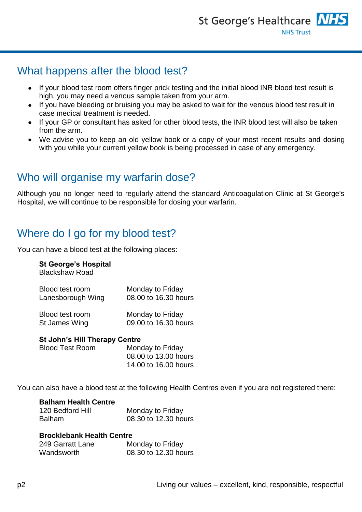

## What happens after the blood test?

- If your blood test room offers finger prick testing and the initial blood INR blood test result is  $\bullet$ high, you may need a venous sample taken from your arm.
- If you have bleeding or bruising you may be asked to wait for the venous blood test result in  $\bullet$ case medical treatment is needed.
- $\bullet$ If your GP or consultant has asked for other blood tests, the INR blood test will also be taken from the arm.
- We advise you to keep an old yellow book or a copy of your most recent results and dosing with you while your current yellow book is being processed in case of any emergency.

## Who will organise my warfarin dose?

Although you no longer need to regularly attend the standard Anticoagulation Clinic at St George's Hospital, we will continue to be responsible for dosing your warfarin.

## Where do I go for my blood test?

You can have a blood test at the following places:

#### **St George's Hospital**

Blackshaw Road

| Blood test room                          | Monday to Friday<br>08.00 to 16.30 hours |  |
|------------------------------------------|------------------------------------------|--|
| Lanesborough Wing<br>District that seems | $M = 1$                                  |  |

| BIOOD TEST FOOM | Monday to Friday     |
|-----------------|----------------------|
| St James Wing   | 09.00 to 16.30 hours |

#### **St John's Hill Therapy Centre**

| Blood Test Room | Monday to Friday     |
|-----------------|----------------------|
|                 | 08.00 to 13.00 hours |
|                 | 14,00 to 16,00 hours |

You can also have a blood test at the following Health Centres even if you are not registered there:

|  |  | <b>Balham Health Centre</b> |
|--|--|-----------------------------|
|  |  |                             |

| 120 Bedford Hill | Monday to Friday     |
|------------------|----------------------|
| <b>Balham</b>    | 08.30 to 12.30 hours |

#### **Brocklebank Health Centre**

| 249 Garratt Lane | Monday to Friday     |
|------------------|----------------------|
| Wandsworth       | 08.30 to 12.30 hours |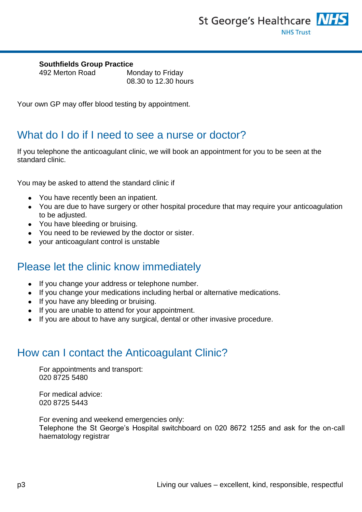

#### **Southfields Group Practice**

492 Merton Road Monday to Friday

08.30 to 12.30 hours

Your own GP may offer blood testing by appointment.

### What do I do if I need to see a nurse or doctor?

If you telephone the anticoagulant clinic, we will book an appointment for you to be seen at the standard clinic.

You may be asked to attend the standard clinic if

- You have recently been an inpatient.
- You are due to have surgery or other hospital procedure that may require your anticoagulation to be adjusted.
- You have bleeding or bruising.
- You need to be reviewed by the doctor or sister.
- your anticoagulant control is unstable

## Please let the clinic know immediately

- If you change your address or telephone number.  $\bullet$
- If you change your medications including herbal or alternative medications.  $\bullet$
- If you have any bleeding or bruising.  $\bullet$
- If you are unable to attend for your appointment.
- If you are about to have any surgical, dental or other invasive procedure.

### How can I contact the Anticoagulant Clinic?

For appointments and transport: 020 8725 5480

For medical advice: 020 8725 5443

For evening and weekend emergencies only: Telephone the St George's Hospital switchboard on 020 8672 1255 and ask for the on-call haematology registrar